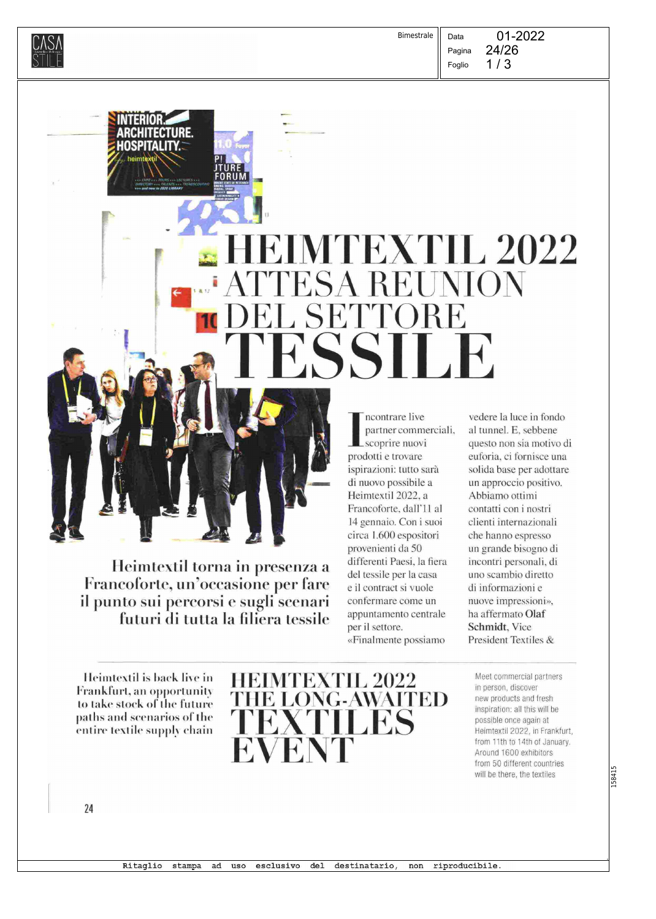$\widehat{\text{CMSA}}$  . The contract of the contract of the contract of the contract of the contract of the contract of the contract of the contract of the contract of the contract of the contract of the contract of the contract of Bimestrale

Pagina Foglio

Data

 $1/3$ 

# HE1MTEXTIL 2022 ATTESA REUNIO\ IN DEL SETTORE **ATESSILE**

Heimtextil torna in presenza a Francoforte, un'occasione per fare il punto sui percorsi e sugli scenari futuri di tutta la filiera tessilo

ncontrare live partner commerciali, scoprire nuovi prodotti e trovare ispirazioni: tutto sarà di nuovo possibile a Heimtextil 2022, a Francoforte. dall'll al 14 gennaio. Con i suoi circa 1.600 espositori provenienti da 50 differenti Paesi, la fiera del tessile per la casa e il contract si vuole confermare come un appuntamento centrale per il settore. «Finalmente possiamo

vedere la luce in fondo al tunnel. E, sebbene questo non sia motivo di euforia, ci fornisce una solida base per adottare un approccio positivo. Abbiamo ottimi contatti con i nostri clienti internazionali che hanno espresso un grande bisogno di incontri personali, di uno scambio diretto di informazioni e nuove impressioni», ha affermato Olaf Schmidt, Vice President Textiles &

Heimtextil is back live in Frankfurt, an opportunity to take stock of the future paths and scenarios of the entire textile supply chain

NIERIOR.

AKUHITEUTUKE. MUSPITALITY,

> P! JTURE FORUM MARTAT S<br>EAMING: 1<br>BIAITAL

•



Meet commercial partners in person, discover new products and fresh inspiration: all this will be possible once again at Heimtextil 2022, in Frankfurt, from 11th to 14th of January. Around 1600 exhibitors from 50 different countries will be there, the textiles

.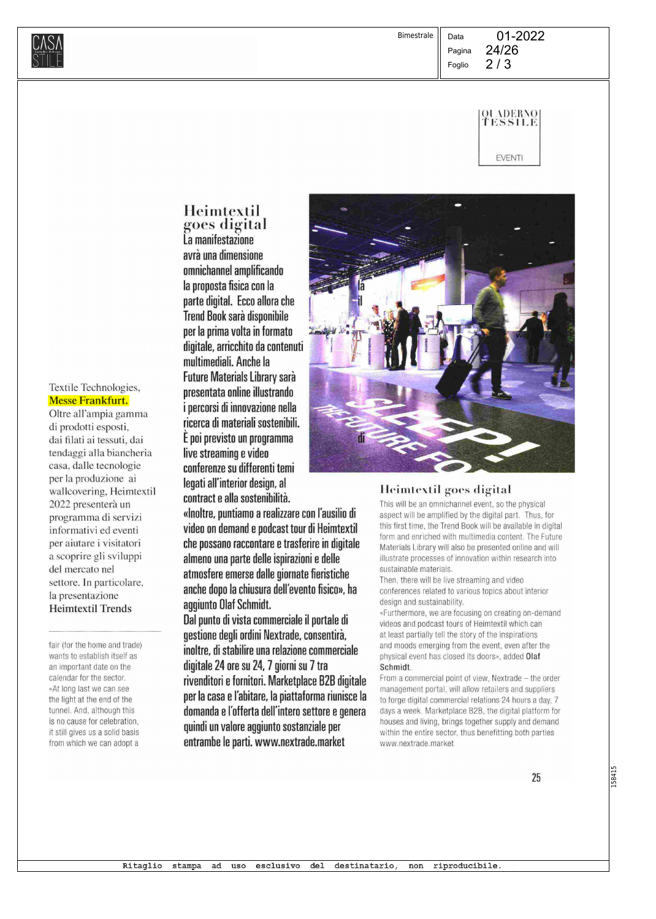

Data



01-2022

EVENTI

Heim<u>t</u>extil goes digital La manifestazione avrà una dimensione omnichannel amplificando la proposta fisica con la parte digital. Ecco allora che Trend Book sarà disponibile per la prima volta in formato digitale, arricchito da contenuti multimediali. Anche la

Future Materials Library sarà presentata online illustrando i percorsi di innovazione nella ricerca di materiali sostenibili. E poi previsto un programma live streaming e video conferenze su differenti temi legati all'interior design, al

contract e alla sostenibilità.

«Inoltre, puntiamo a realizzare con l'ausilio di video on demand e podcast tour di Heimtextil che possano raccontare e trasferire in digitale almeno una parte delle ispirazioni e delle atmosfere emerse dalle giornate fieristiche anche dopo la chiusura dell'evento fisico», ha aggiunto Olaf Schmidt.

Dal punto di vista commerciale il portale di gestione degli ordini Nextrade, consentirà, inoltre, di stabilire una relazione commerciale digitale 24 ore su 24, 7 giorni su 7 tra rivenditori e fornitori. Marketplace B2B digitale per la casa e l'abitare, la piattaforma riunisce la domanda e l'offerta dell'intero settore e genera quindi un valore aggiunto sostanziale per entrambe le parti. www.nextrade.market



### Heimtextil goes digital

This will be an omnichannel event, so the physical aspect will be amplified by the digital part. Thus, for this first time, the Trend Book will be available in digital form and enriched with multimedia content. The Future Materials Library will also be presented online and will illustrate processes of innovation within research into sustainable materials.

Then, there will be live streaming and video conferences related to various topics about interior design and sustainability.

«Furthermore, we are focusing on creating on-demand videos and podcast tours of Heimtextil which can at least partially tell the story of the inspirations and moods emerging from the event, even after the physical event has closed its doors», added Olaf Schmidt.

From a commercial point of view, Nextrade — the order management portai, will allow retailers and suppliers to forge digital commercial relations 24 hours a day, 7 days a week. Marketplace B2B, the digital platform for houses and living, brings together supply and demand within the entire sector, thus benefitting both parties www.nextrade.market

158415

## Textile Technologies, Messe Frankfurt.

Oltre all'ampia gamma di prodotti esposti, dai filati ai tessuti, dai tendaggi alla biancheria casa, dalle tecnologie per la produzione ai wallcovering, Heimtextil 2022 presenterà un programma di servizi informativi ed eventi per aiutare i visitatori a scoprire gli sviluppi del mercato nel settore. In particolare, la presentazione Heimtextil Trends

fair (for the home and trade) wants to establish itself as an important date on the calendar for the sector. «At long last we can see the light at the end of the tunnel. And, although this is no cause for celebration, it still gives us a solid basis from which we can adopt a